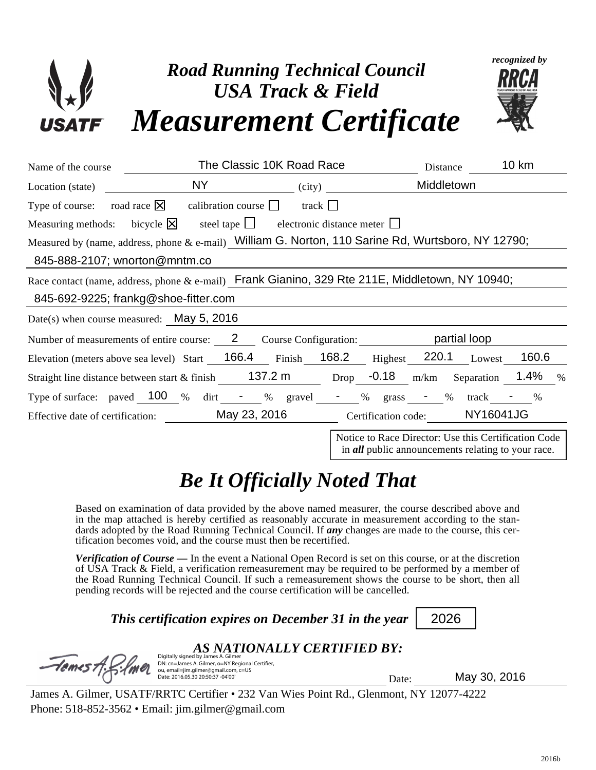

| Name of the course                                                                            |                                                                                                                                                                                                                                                                                                                                                                                                                | The Classic 10K Road Race                        | Distance                                                                                                          | <b>10 km</b> |
|-----------------------------------------------------------------------------------------------|----------------------------------------------------------------------------------------------------------------------------------------------------------------------------------------------------------------------------------------------------------------------------------------------------------------------------------------------------------------------------------------------------------------|--------------------------------------------------|-------------------------------------------------------------------------------------------------------------------|--------------|
| Location (state)                                                                              |                                                                                                                                                                                                                                                                                                                                                                                                                | $\left( \text{city} \right)$                     | Middletown                                                                                                        |              |
| Type of course: road race $\boxtimes$<br>Measuring methods: bicycle $ \overline{\mathsf{x}} $ | calibration course $\Box$<br>steel tape $\Box$                                                                                                                                                                                                                                                                                                                                                                 | track $\Box$<br>electronic distance meter $\Box$ |                                                                                                                   |              |
| 845-888-2107; wnorton@mntm.co                                                                 | Measured by (name, address, phone $\&$ e-mail) William G. Norton, 110 Sarine Rd, Wurtsboro, NY 12790;                                                                                                                                                                                                                                                                                                          |                                                  |                                                                                                                   |              |
| 845-692-9225; frankg@shoe-fitter.com                                                          | Race contact (name, address, phone $\&$ e-mail) Frank Gianino, 329 Rte 211E, Middletown, NY 10940;                                                                                                                                                                                                                                                                                                             |                                                  |                                                                                                                   |              |
| Date(s) when course measured: May 5, 2016                                                     |                                                                                                                                                                                                                                                                                                                                                                                                                |                                                  |                                                                                                                   |              |
| Number of measurements of entire course: 2 Course Configuration: partial loop                 |                                                                                                                                                                                                                                                                                                                                                                                                                |                                                  |                                                                                                                   |              |
|                                                                                               | Elevation (meters above sea level) Start 166.4 Finish 168.2 Highest 220.1 Lowest                                                                                                                                                                                                                                                                                                                               |                                                  |                                                                                                                   | 160.6        |
|                                                                                               | Straight line distance between start $\&$ finish 137.2 m                                                                                                                                                                                                                                                                                                                                                       |                                                  | Drop $-0.18$ m/km Separation                                                                                      | 1.4%<br>$\%$ |
| Type of surface: paved $\frac{100}{8}$ % dirt - % gravel - % grass - % track - %              |                                                                                                                                                                                                                                                                                                                                                                                                                |                                                  |                                                                                                                   |              |
|                                                                                               | Effective date of certification: May 23, 2016 Certification code: NY16041JG                                                                                                                                                                                                                                                                                                                                    |                                                  |                                                                                                                   |              |
|                                                                                               |                                                                                                                                                                                                                                                                                                                                                                                                                |                                                  | Notice to Race Director: Use this Certification Code<br>in <i>all</i> public announcements relating to your race. |              |
|                                                                                               | <b>Be It Officially Noted That</b>                                                                                                                                                                                                                                                                                                                                                                             |                                                  |                                                                                                                   |              |
|                                                                                               | Based on examination of data provided by the above named measurer, the course described above and<br>in the map attached is hereby certified as reasonably accurate in measurement according to the stan-<br>dards adopted by the Road Running Technical Council. If any changes are made to the course, this cer-<br>tification becomes void, and the course must then be recertified.                        |                                                  |                                                                                                                   |              |
|                                                                                               | <b>Verification of Course</b> — In the event a National Open Record is set on this course, or at the discretion<br>of USA Track & Field, a verification remeasurement may be required to be performed by a member of<br>the Road Running Technical Council. If such a remeasurement shows the course to be short, then all<br>pending records will be rejected and the course certification will be cancelled. |                                                  |                                                                                                                   |              |
|                                                                                               | This certification expires on December 31 in the year                                                                                                                                                                                                                                                                                                                                                          |                                                  | 2026                                                                                                              |              |
| $-$ lemest                                                                                    | Digitally signed by Jan<br>DN: cn=James A. Gilmer, o=NY Regional Certifier,<br>ou, email=jim.gilmer@gmail.com, c=US<br>Date: 2016.05.30 20:50:37 -04'00'                                                                                                                                                                                                                                                       | AS NATIONALLY CERTIFIED BY:                      | Date:                                                                                                             | May 30, 2016 |
|                                                                                               | James A. Gilmer, USATF/RRTC Certifier • 232 Van Wies Point Rd., Glenmont, NY 12077-4222                                                                                                                                                                                                                                                                                                                        |                                                  |                                                                                                                   |              |
| Phone: $518-852-3562 \cdot$ Email: jim.gilmer@gmail.com                                       |                                                                                                                                                                                                                                                                                                                                                                                                                |                                                  |                                                                                                                   |              |
|                                                                                               |                                                                                                                                                                                                                                                                                                                                                                                                                |                                                  |                                                                                                                   |              |
|                                                                                               |                                                                                                                                                                                                                                                                                                                                                                                                                |                                                  |                                                                                                                   | 2016b        |

## *Be It Officially Noted That*

## *AS NATIONALLY CERTIFIED BY:*